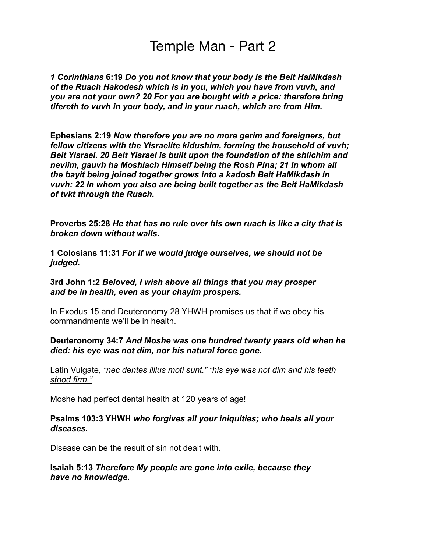# Temple Man - Part 2

*1 Corinthians* **6:19** *Do you not know that your body is the Beit HaMikdash of the Ruach Hakodesh which is in you, which you have from vuvh, and you are not your own? 20 For you are bought with a price: therefore bring tifereth to vuvh in your body, and in your ruach, which are from Him.* 

**Ephesians 2:19** *Now therefore you are no more gerim and foreigners, but fellow citizens with the Yisraelite kidushim, forming the household of vuvh; Beit Yisrael. 20 Beit Yisrael is built upon the foundation of the shlichim and neviim, gauvh ha Moshiach Himself being the Rosh Pina; 21 In whom all the bayit being joined together grows into a kadosh Beit HaMikdash in vuvh: 22 In whom you also are being built together as the Beit HaMikdash of tvkt through the Ruach.* 

**Proverbs 25:28** *He that has no rule over his own ruach is like a city that is broken down without walls.* 

**1 Colosians 11:31** *For if we would judge ourselves, we should not be judged.* 

**3rd John 1:2** *Beloved, I wish above all things that you may prosper and be in health, even as your chayim prospers.* 

In Exodus 15 and Deuteronomy 28 YHWH promises us that if we obey his commandments we'll be in health.

#### **Deuteronomy 34:7** *And Moshe was one hundred twenty years old when he died: his eye was not dim, nor his natural force gone.*

Latin Vulgate, *"nec dentes illius moti sunt." "his eye was not dim and his teeth stood firm."* 

Moshe had perfect dental health at 120 years of age!

#### **Psalms 103:3 YHWH** *who forgives all your iniquities; who heals all your diseases.*

Disease can be the result of sin not dealt with.

**Isaiah 5:13** *Therefore My people are gone into exile, because they have no knowledge.*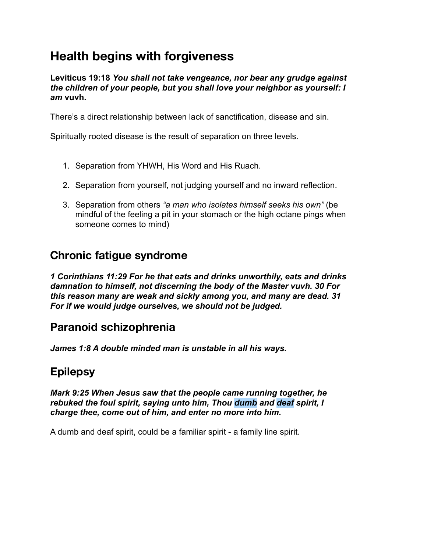# **Health begins with forgiveness**

**Leviticus 19:18** *You shall not take vengeance, nor bear any grudge against the children of your people, but you shall love your neighbor as yourself: I am* **vuvh***.*

There's a direct relationship between lack of sanctification, disease and sin.

Spiritually rooted disease is the result of separation on three levels.

- 1. Separation from YHWH, His Word and His Ruach.
- 2. Separation from yourself, not judging yourself and no inward reflection.
- 3. Separation from others *"a man who isolates himself seeks his own"* (be mindful of the feeling a pit in your stomach or the high octane pings when someone comes to mind)

### **Chronic fatigue syndrome**

*1 Corinthians 11:29 For he that eats and drinks unworthily, eats and drinks damnation to himself, not discerning the body of the Master vuvh. 30 For this reason many are weak and sickly among you, and many are dead. 31 For if we would judge ourselves, we should not be judged.* 

### **Paranoid schizophrenia**

*James 1:8 A double minded man is unstable in all his ways.* 

### **Epilepsy**

*Mark 9:25 When Jesus saw that the people came running together, he rebuked the foul spirit, saying unto him, Thou dumb and deaf spirit, I charge thee, come out of him, and enter no more into him.*

A dumb and deaf spirit, could be a familiar spirit - a family line spirit.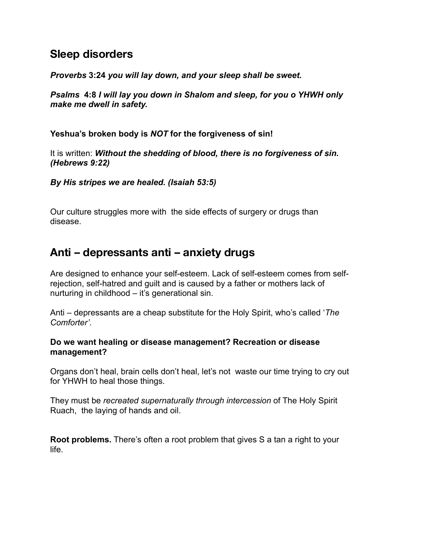### **Sleep disorders**

*Proverbs* **3:24** *you will lay down, and your sleep shall be sweet.*

*Psalms* **4:8** *I will lay you down in Shalom and sleep, for you o YHWH only make me dwell in safety.*

**Yeshua's broken body is** *NOT* **for the forgiveness of sin!**

It is written: *Without the shedding of blood, there is no forgiveness of sin. (Hebrews 9:22)*

*By His stripes we are healed. (Isaiah 53:5)* 

Our culture struggles more with the side effects of surgery or drugs than disease.

# **Anti – depressants anti – anxiety drugs**

Are designed to enhance your self-esteem. Lack of self-esteem comes from selfrejection, self-hatred and guilt and is caused by a father or mothers lack of nurturing in childhood – it's generational sin.

Anti – depressants are a cheap substitute for the Holy Spirit, who's called '*The Comforter'.*

#### **Do we want healing or disease management? Recreation or disease management?**

Organs don't heal, brain cells don't heal, let's not waste our time trying to cry out for YHWH to heal those things.

They must be *recreated supernaturally through intercession* of The Holy Spirit Ruach, the laying of hands and oil.

**Root problems.** There's often a root problem that gives S a tan a right to your life.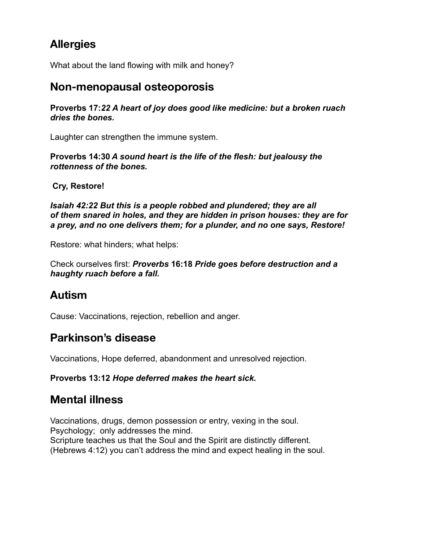# **Allergies**

What about the land flowing with milk and honey?

#### **Non-menopausal osteoporosis**

**Proverbs 17:***22 A heart of joy does good like medicine: but a broken ruach dries the bones.*

Laughter can strengthen the immune system.

**Proverbs 14:30** *A sound heart is the life of the flesh: but jealousy the rottenness of the bones.* 

**Cry, Restore!**

*Isaiah 42:22 But this is a people robbed and plundered; they are all of them snared in holes, and they are hidden in prison houses: they are for a prey, and no one delivers them; for a plunder, and no one says, Restore!* 

Restore: what hinders; what helps:

Check ourselves first: *Proverbs* **16:18** *Pride goes before destruction and a haughty ruach before a fall.* 

## **Autism**

Cause: Vaccinations, rejection, rebellion and anger.

## **Parkinson's disease**

Vaccinations, Hope deferred, abandonment and unresolved rejection.

#### **Proverbs 13:12** *Hope deferred makes the heart sick.*

## **Mental illness**

Vaccinations, drugs, demon possession or entry, vexing in the soul. Psychology; only addresses the mind. Scripture teaches us that the Soul and the Spirit are distinctly different. (Hebrews 4:12) you can't address the mind and expect healing in the soul.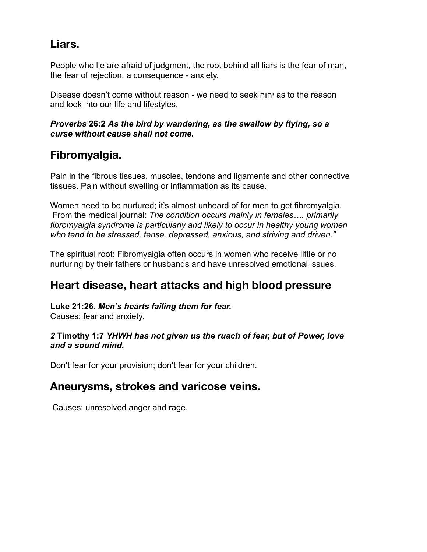# **Liars.**

People who lie are afraid of judgment, the root behind all liars is the fear of man, the fear of rejection, a consequence - anxiety.

Disease doesn't come without reason - we need to seek יהוה as to the reason and look into our life and lifestyles.

#### *Proverbs* **26:2** *As the bird by wandering, as the swallow by flying, so a curse without cause shall not come.*

# **Fibromyalgia.**

Pain in the fibrous tissues, muscles, tendons and ligaments and other connective tissues. Pain without swelling or inflammation as its cause.

Women need to be nurtured; it's almost unheard of for men to get fibromyalgia. From the medical journal: *The condition occurs mainly in females…. primarily fibromyalgia syndrome is particularly and likely to occur in healthy young women who tend to be stressed, tense, depressed, anxious, and striving and driven."* 

The spiritual root: Fibromyalgia often occurs in women who receive little or no nurturing by their fathers or husbands and have unresolved emotional issues.

## **Heart disease, heart attacks and high blood pressure**

#### **Luke 21:26.** *Men's hearts failing them for fear.*

Causes: fear and anxiety.

#### *2* **Timothy 1:7** *YHWH has not given us the ruach of fear, but of Power, love and a sound mind.*

Don't fear for your provision; don't fear for your children.

### **Aneurysms, strokes and varicose veins.**

Causes: unresolved anger and rage.